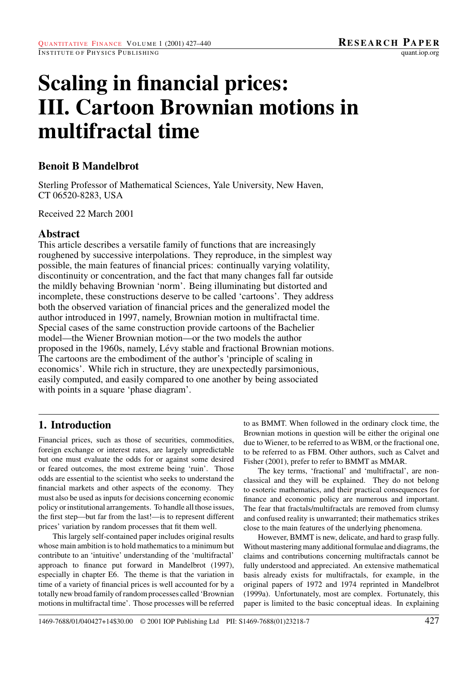# **Scaling in financial prices: III. Cartoon Brownian motions in multifractal time**

# **Benoit B Mandelbrot**

Sterling Professor of Mathematical Sciences, Yale University, New Haven, CT 06520-8283, USA

Received 22 March 2001

# **Abstract**

This article describes a versatile family of functions that are increasingly roughened by successive interpolations. They reproduce, in the simplest way possible, the main features of financial prices: continually varying volatility, discontinuity or concentration, and the fact that many changes fall far outside the mildly behaving Brownian 'norm'. Being illuminating but distorted and incomplete, these constructions deserve to be called 'cartoons'. They address both the observed variation of financial prices and the generalized model the author introduced in 1997, namely, Brownian motion in multifractal time. Special cases of the same construction provide cartoons of the Bachelier model—the Wiener Brownian motion—or the two models the author proposed in the 1960s, namely, Lévy stable and fractional Brownian motions. The cartoons are the embodiment of the author's 'principle of scaling in economics'. While rich in structure, they are unexpectedly parsimonious, easily computed, and easily compared to one another by being associated with points in a square 'phase diagram'.

# **1. Introduction**

Financial prices, such as those of securities, commodities, foreign exchange or interest rates, are largely unpredictable but one must evaluate the odds for or against some desired or feared outcomes, the most extreme being 'ruin'. Those odds are essential to the scientist who seeks to understand the financial markets and other aspects of the economy. They must also be used as inputs for decisions concerning economic policy or institutional arrangements. To handle all those issues, the first step—but far from the last!—is to represent different prices' variation by random processes that fit them well.

This largely self-contained paper includes original results whose main ambition is to hold mathematics to a minimum but contribute to an 'intuitive' understanding of the 'multifractal' approach to finance put forward in Mandelbrot (1997), especially in chapter E6. The theme is that the variation in time of a variety of financial prices is well accounted for by a totally new broad family of random processes called 'Brownian motions in multifractal time'. Those processes will be referred

to as BMMT. When followed in the ordinary clock time, the Brownian motions in question will be either the original one due to Wiener, to be referred to as WBM, or the fractional one, to be referred to as FBM. Other authors, such as Calvet and Fisher (2001), prefer to refer to BMMT as MMAR.

The key terms, 'fractional' and 'multifractal', are nonclassical and they will be explained. They do not belong to esoteric mathematics, and their practical consequences for finance and economic policy are numerous and important. The fear that fractals/multifractals are removed from clumsy and confused reality is unwarranted; their mathematics strikes close to the main features of the underlying phenomena.

However, BMMT is new, delicate, and hard to grasp fully. Without mastering many additional formulae and diagrams, the claims and contributions concerning multifractals cannot be fully understood and appreciated. An extensive mathematical basis already exists for multifractals, for example, in the original papers of 1972 and 1974 reprinted in Mandelbrot (1999a). Unfortunately, most are complex. Fortunately, this paper is limited to the basic conceptual ideas. In explaining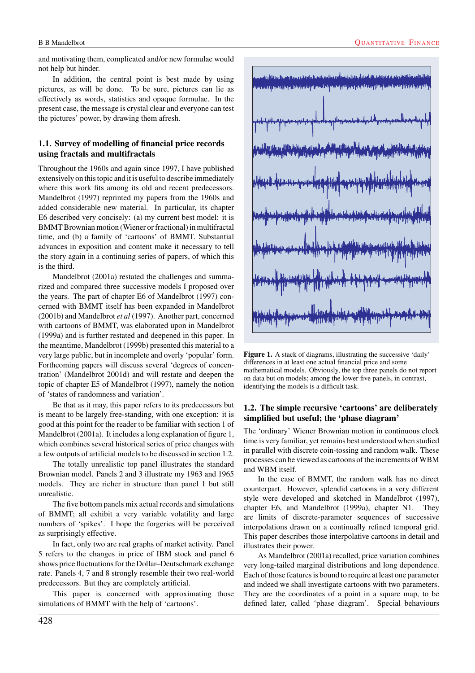and motivating them, complicated and/or new formulae would not help but hinder.

In addition, the central point is best made by using pictures, as will be done. To be sure, pictures can lie as effectively as words, statistics and opaque formulae. In the present case, the message is crystal clear and everyone can test the pictures' power, by drawing them afresh.

## **1.1. Survey of modelling of financial price records using fractals and multifractals**

Throughout the 1960s and again since 1997, I have published extensively on this topic and it is useful to describe immediately where this work fits among its old and recent predecessors. Mandelbrot (1997) reprinted my papers from the 1960s and added considerable new material. In particular, its chapter E6 described very concisely: (a) my current best model: it is BMMT Brownian motion (Wiener or fractional) in multifractal time, and (b) a family of 'cartoons' of BMMT. Substantial advances in exposition and content make it necessary to tell the story again in a continuing series of papers, of which this is the third.

Mandelbrot (2001a) restated the challenges and summarized and compared three successive models I proposed over the years. The part of chapter E6 of Mandelbrot (1997) concerned with BMMT itself has been expanded in Mandelbrot (2001b) and Mandelbrot *et al* (1997). Another part, concerned with cartoons of BMMT, was elaborated upon in Mandelbrot (1999a) and is further restated and deepened in this paper. In the meantime, Mandelbrot (1999b) presented this material to a very large public, but in incomplete and overly 'popular' form. Forthcoming papers will discuss several 'degrees of concentration' (Mandelbrot 2001d) and will restate and deepen the topic of chapter E5 of Mandelbrot (1997), namely the notion of 'states of randomness and variation'.

Be that as it may, this paper refers to its predecessors but is meant to be largely free-standing, with one exception: it is good at this point for the reader to be familiar with section 1 of Mandelbrot (2001a). It includes a long explanation of figure 1, which combines several historical series of price changes with a few outputs of artificial models to be discussed in section 1.2.

The totally unrealistic top panel illustrates the standard Brownian model. Panels 2 and 3 illustrate my 1963 and 1965 models. They are richer in structure than panel 1 but still unrealistic.

The five bottom panels mix actual records and simulations of BMMT; all exhibit a very variable volatility and large numbers of 'spikes'. I hope the forgeries will be perceived as surprisingly effective.

In fact, only two are real graphs of market activity. Panel 5 refers to the changes in price of IBM stock and panel 6 shows price fluctuations for the Dollar–Deutschmark exchange rate. Panels 4, 7 and 8 strongly resemble their two real-world predecessors. But they are completely artificial.

This paper is concerned with approximating those simulations of BMMT with the help of 'cartoons'.



Figure 1. A stack of diagrams, illustrating the successive 'daily' differences in at least one actual financial price and some mathematical models. Obviously, the top three panels do not report on data but on models; among the lower five panels, in contrast, identifying the models is a difficult task.

## **1.2. The simple recursive 'cartoons' are deliberately simplified but useful; the 'phase diagram'**

The 'ordinary' Wiener Brownian motion in continuous clock time is very familiar, yet remains best understood when studied in parallel with discrete coin-tossing and random walk. These processes can be viewed as cartoons of the increments of WBM and WBM itself.

In the case of BMMT, the random walk has no direct counterpart. However, splendid cartoons in a very different style were developed and sketched in Mandelbrot (1997), chapter E6, and Mandelbrot (1999a), chapter N1. They are limits of discrete-parameter sequences of successive interpolations drawn on a continually refined temporal grid. This paper describes those interpolative cartoons in detail and illustrates their power.

As Mandelbrot (2001a) recalled, price variation combines very long-tailed marginal distributions and long dependence. Each of those features is bound to require at least one parameter and indeed we shall investigate cartoons with two parameters. They are the coordinates of a point in a square map, to be defined later, called 'phase diagram'. Special behaviours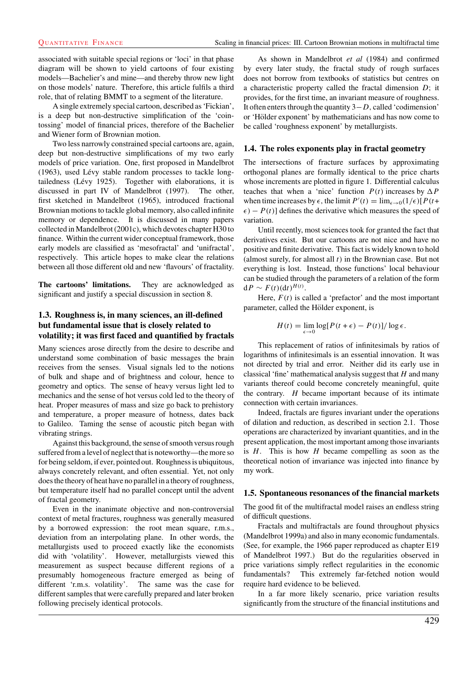associated with suitable special regions or 'loci' in that phase diagram will be shown to yield cartoons of four existing models—Bachelier's and mine—and thereby throw new light on those models' nature. Therefore, this article fulfils a third role, that of relating BMMT to a segment of the literature.

A single extremely special cartoon, described as 'Fickian', is a deep but non-destructive simplification of the 'cointossing' model of financial prices, therefore of the Bachelier and Wiener form of Brownian motion.

Two less narrowly constrained special cartoons are, again, deep but non-destructive simplifications of my two early models of price variation. One, first proposed in Mandelbrot (1963), used Lévy stable random processes to tackle longtailedness (Lévy 1925). Together with elaborations, it is discussed in part IV of Mandelbrot (1997). The other, first sketched in Mandelbrot (1965), introduced fractional Brownian motions to tackle global memory, also called infinite memory or dependence. It is discussed in many papers collected in Mandelbrot (2001c), which devotes chapter H30 to finance. Within the current wider conceptual framework, those early models are classified as 'mesofractal' and 'unifractal', respectively. This article hopes to make clear the relations between all those different old and new 'flavours' of fractality.

**The cartoons' limitations.** They are acknowledged as significant and justify a special discussion in section 8.

#### **1.3. Roughness is, in many sciences, an ill-defined but fundamental issue that is closely related to volatility; it was first faced and quantified by fractals**

Many sciences arose directly from the desire to describe and understand some combination of basic messages the brain receives from the senses. Visual signals led to the notions of bulk and shape and of brightness and colour, hence to geometry and optics. The sense of heavy versus light led to mechanics and the sense of hot versus cold led to the theory of heat. Proper measures of mass and size go back to prehistory and temperature, a proper measure of hotness, dates back to Galileo. Taming the sense of acoustic pitch began with vibrating strings.

Against this background, the sense of smooth versus rough suffered from a level of neglect that is noteworthy—the more so for being seldom, if ever, pointed out. Roughness is ubiquitous, always concretely relevant, and often essential. Yet, not only does the theory of heat have no parallel in a theory of roughness, but temperature itself had no parallel concept until the advent of fractal geometry.

Even in the inanimate objective and non-controversial context of metal fractures, roughness was generally measured by a borrowed expression: the root mean square, r.m.s., deviation from an interpolating plane. In other words, the metallurgists used to proceed exactly like the economists did with 'volatility'. However, metallurgists viewed this measurement as suspect because different regions of a presumably homogeneous fracture emerged as being of different 'r.m.s. volatility'. The same was the case for different samples that were carefully prepared and later broken following precisely identical protocols.

As shown in Mandelbrot *et al* (1984) and confirmed by every later study, the fractal study of rough surfaces does not borrow from textbooks of statistics but centres on a characteristic property called the fractal dimension  $D$ ; it provides, for the first time, an invariant measure of roughness. It often enters through the quantity  $3-D$ , called 'codimension' or 'Hölder exponent' by mathematicians and has now come to be called 'roughness exponent' by metallurgists.

#### **1.4. The roles exponents play in fractal geometry**

The intersections of fracture surfaces by approximating orthogonal planes are formally identical to the price charts whose increments are plotted in figure 1. Differential calculus teaches that when a 'nice' function  $P(t)$  increases by  $\Delta P$ when time increases by  $\epsilon$ , the limit  $P'(t) = \lim_{\epsilon \to 0} (1/\epsilon) [P(t+\epsilon)]$  $\epsilon$ ) –  $P(t)$ ] defines the derivative which measures the speed of variation.

Until recently, most sciences took for granted the fact that derivatives exist. But our cartoons are not nice and have no positive and finite derivative. This fact is widely known to hold (almost surely, for almost all  $t$ ) in the Brownian case. But not everything is lost. Instead, those functions' local behaviour can be studied through the parameters of a relation of the form  $dP \sim F(t) (dt)^{H(t)}$ .

Here,  $F(t)$  is called a 'prefactor' and the most important parameter, called the Hölder exponent, is

$$
H(t) = \lim_{\epsilon \to 0} \log[P(t + \epsilon) - P(t)] / \log \epsilon.
$$

This replacement of ratios of infinitesimals by ratios of logarithms of infinitesimals is an essential innovation. It was not directed by trial and error. Neither did its early use in classical 'fine' mathematical analysis suggest that  $H$  and many variants thereof could become concretely meaningful, quite the contrary.  $H$  became important because of its intimate connection with certain invariances.

Indeed, fractals are figures invariant under the operations of dilation and reduction, as described in section 2.1. Those operations are characterized by invariant quantities, and in the present application, the most important among those invariants is  $H$ . This is how  $H$  became compelling as soon as the theoretical notion of invariance was injected into finance by my work.

#### **1.5. Spontaneous resonances of the financial markets**

The good fit of the multifractal model raises an endless string of difficult questions.

Fractals and multifractals are found throughout physics (Mandelbrot 1999a) and also in many economic fundamentals. (See, for example, the 1966 paper reproduced as chapter E19 of Mandelbrot 1997.) But do the regularities observed in price variations simply reflect regularities in the economic fundamentals? This extremely far-fetched notion would require hard evidence to be believed.

In a far more likely scenario, price variation results significantly from the structure of the financial institutions and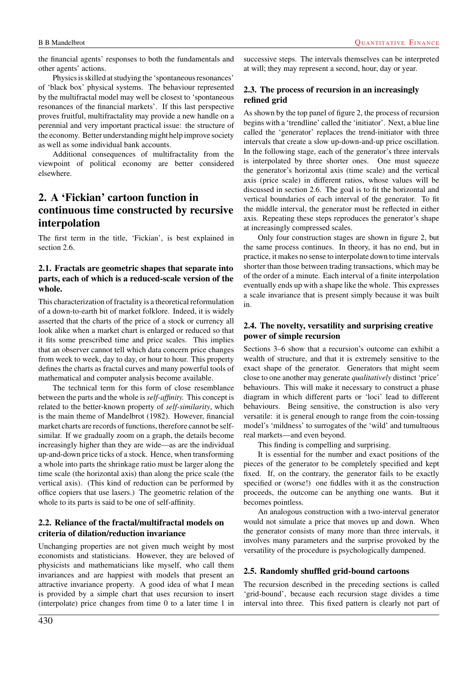the financial agents' responses to both the fundamentals and other agents' actions.

Physics is skilled at studying the 'spontaneous resonances' of 'black box' physical systems. The behaviour represented by the multifractal model may well be closest to 'spontaneous resonances of the financial markets'. If this last perspective proves fruitful, multifractality may provide a new handle on a perennial and very important practical issue: the structure of the economy. Better understanding might help improve society as well as some individual bank accounts.

Additional consequences of multifractality from the viewpoint of political economy are better considered elsewhere.

# **2. A 'Fickian' cartoon function in continuous time constructed by recursive interpolation**

The first term in the title, 'Fickian', is best explained in section 2.6.

# **2.1. Fractals are geometric shapes that separate into parts, each of which is a reduced-scale version of the whole.**

This characterization of fractality is a theoretical reformulation of a down-to-earth bit of market folklore. Indeed, it is widely asserted that the charts of the price of a stock or currency all look alike when a market chart is enlarged or reduced so that it fits some prescribed time and price scales. This implies that an observer cannot tell which data concern price changes from week to week, day to day, or hour to hour. This property defines the charts as fractal curves and many powerful tools of mathematical and computer analysis become available.

The technical term for this form of close resemblance between the parts and the whole is *self-affinity.* This concept is related to the better-known property of *self-similarity*, which is the main theme of Mandelbrot (1982). However, financial market charts are records of functions, therefore cannot be selfsimilar. If we gradually zoom on a graph, the details become increasingly higher than they are wide—as are the individual up-and-down price ticks of a stock. Hence, when transforming a whole into parts the shrinkage ratio must be larger along the time scale (the horizontal axis) than along the price scale (the vertical axis). (This kind of reduction can be performed by office copiers that use lasers.) The geometric relation of the whole to its parts is said to be one of self-affinity.

# **2.2. Reliance of the fractal/multifractal models on criteria of dilation/reduction invariance**

Unchanging properties are not given much weight by most economists and statisticians. However, they are beloved of physicists and mathematicians like myself, who call them invariances and are happiest with models that present an attractive invariance property. A good idea of what I mean is provided by a simple chart that uses recursion to insert (interpolate) price changes from time 0 to a later time 1 in successive steps. The intervals themselves can be interpreted at will; they may represent a second, hour, day or year.

# **2.3. The process of recursion in an increasingly refined grid**

As shown by the top panel of figure 2, the process of recursion begins with a 'trendline' called the 'initiator'. Next, a blue line called the 'generator' replaces the trend-initiator with three intervals that create a slow up-down-and-up price oscillation. In the following stage, each of the generator's three intervals is interpolated by three shorter ones. One must squeeze the generator's horizontal axis (time scale) and the vertical axis (price scale) in different ratios, whose values will be discussed in section 2.6. The goal is to fit the horizontal and vertical boundaries of each interval of the generator. To fit the middle interval, the generator must be reflected in either axis. Repeating these steps reproduces the generator's shape at increasingly compressed scales.

Only four construction stages are shown in figure 2, but the same process continues. In theory, it has no end, but in practice, it makes no sense to interpolate down to time intervals shorter than those between trading transactions, which may be of the order of a minute. Each interval of a finite interpolation eventually ends up with a shape like the whole. This expresses a scale invariance that is present simply because it was built in.

## **2.4. The novelty, versatility and surprising creative power of simple recursion**

Sections 3–6 show that a recursion's outcome can exhibit a wealth of structure, and that it is extremely sensitive to the exact shape of the generator. Generators that might seem close to one another may generate *qualitatively* distinct 'price' behaviours. This will make it necessary to construct a phase diagram in which different parts or 'loci' lead to different behaviours. Being sensitive, the construction is also very versatile: it is general enough to range from the coin-tossing model's 'mildness' to surrogates of the 'wild' and tumultuous real markets—and even beyond.

This finding is compelling and surprising.

It is essential for the number and exact positions of the pieces of the generator to be completely specified and kept fixed. If, on the contrary, the generator fails to be exactly specified or (worse!) one fiddles with it as the construction proceeds, the outcome can be anything one wants. But it becomes pointless.

An analogous construction with a two-interval generator would not simulate a price that moves up and down. When the generator consists of many more than three intervals, it involves many parameters and the surprise provoked by the versatility of the procedure is psychologically dampened.

# **2.5. Randomly shuffled grid-bound cartoons**

The recursion described in the preceding sections is called 'grid-bound', because each recursion stage divides a time interval into three. This fixed pattern is clearly not part of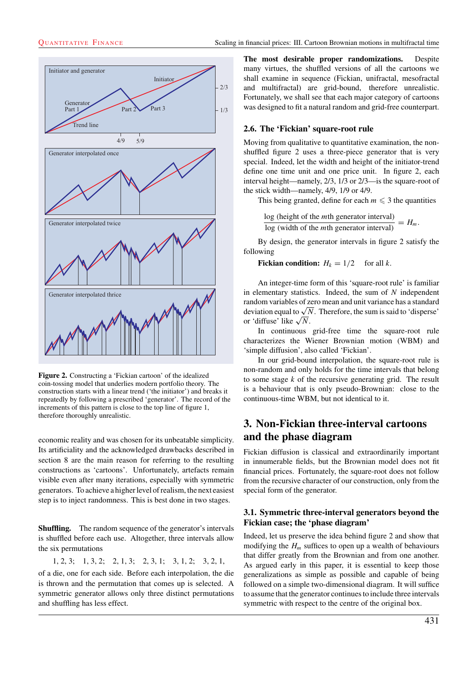

**Figure 2.** Constructing a 'Fickian cartoon' of the idealized coin-tossing model that underlies modern portfolio theory. The construction starts with a linear trend ('the initiator') and breaks it repeatedly by following a prescribed 'generator'. The record of the increments of this pattern is close to the top line of figure 1, therefore thoroughly unrealistic.

economic reality and was chosen for its unbeatable simplicity. Its artificiality and the acknowledged drawbacks described in section 8 are the main reason for referring to the resulting constructions as 'cartoons'. Unfortunately, artefacts remain visible even after many iterations, especially with symmetric generators. To achieve a higher level of realism, the next easiest step is to inject randomness. This is best done in two stages.

**Shuffling.** The random sequence of the generator's intervals is shuffled before each use. Altogether, three intervals allow the six permutations

1, 2, 3; 1, 3, 2; 2, 1, 3; 2, 3, 1; 3, 1, 2; 3, 2, 1,

of a die, one for each side. Before each interpolation, the die is thrown and the permutation that comes up is selected. A symmetric generator allows only three distinct permutations and shuffling has less effect.

**The most desirable proper randomizations.** Despite many virtues, the shuffled versions of all the cartoons we shall examine in sequence (Fickian, unifractal, mesofractal and multifractal) are grid-bound, therefore unrealistic. Fortunately, we shall see that each major category of cartoons was designed to fit a natural random and grid-free counterpart.

## **2.6. The 'Fickian' square-root rule**

Moving from qualitative to quantitative examination, the nonshuffled figure 2 uses a three-piece generator that is very special. Indeed, let the width and height of the initiator-trend define one time unit and one price unit. In figure 2, each interval height—namely, 2/3, 1/3 or 2/3—is the square-root of the stick width—namely, 4/9, 1/9 or 4/9.

This being granted, define for each  $m \leq 3$  the quantities

log (height of the *mth* generator interval)<br> $\log$  (width of the *mth* generator interval) =  $H_m$ .

By design, the generator intervals in figure 2 satisfy the following

**Fickian condition:**  $H_k = 1/2$  for all k.

An integer-time form of this 'square-root rule' is familiar in elementary statistics. Indeed, the sum of  $N$  independent random variables of zero mean and unit variance has a standard deviation equal to  $\sqrt{N}$ . Therefore, the sum is said to 'disperse' or 'diffuse' like  $\sqrt{N}$ .

In continuous grid-free time the square-root rule characterizes the Wiener Brownian motion (WBM) and 'simple diffusion', also called 'Fickian'.

In our grid-bound interpolation, the square-root rule is non-random and only holds for the time intervals that belong to some stage  $k$  of the recursive generating grid. The result is a behaviour that is only pseudo-Brownian: close to the continuous-time WBM, but not identical to it.

# **3. Non-Fickian three-interval cartoons and the phase diagram**

Fickian diffusion is classical and extraordinarily important in innumerable fields, but the Brownian model does not fit financial prices. Fortunately, the square-root does not follow from the recursive character of our construction, only from the special form of the generator.

# **3.1. Symmetric three-interval generators beyond the Fickian case; the 'phase diagram'**

Indeed, let us preserve the idea behind figure 2 and show that modifying the  $H_m$  suffices to open up a wealth of behaviours that differ greatly from the Brownian and from one another. As argued early in this paper, it is essential to keep those generalizations as simple as possible and capable of being followed on a simple two-dimensional diagram. It will suffice to assume that the generator continues to include three intervals symmetric with respect to the centre of the original box.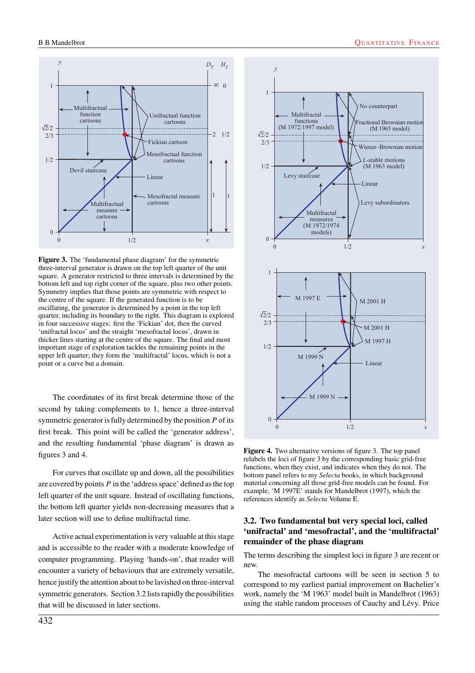

**Figure 3.** The 'fundamental phase diagram' for the symmetric three-interval generator is drawn on the top left quarter of the unit square. A generator restricted to three intervals is determined by the bottom left and top right corner of the square, plus two other points. Symmetry implies that those points are symmetric with respect to the centre of the square. If the generated function is to be oscillating, the generator is determined by a point in the top left quarter, including its boundary to the right. This diagram is explored in four successive stages: first the 'Fickian' dot, then the curved 'unifractal locus' and the straight 'mesofractal locus', drawn in thicker lines starting at the centre of the square. The final and most important stage of exploration tackles the remaining points in the upper left quarter; they form the 'multifractal' locus, which is not a point or a curve but a domain.

The coordinates of its first break determine those of the second by taking complements to 1, hence a three-interval symmetric generator is fully determined by the position  $P$  of its first break. This point will be called the 'generator address', and the resulting fundamental 'phase diagram' is drawn as figures 3 and 4.

For curves that oscillate up and down, all the possibilities are covered by points  $P$  in the 'address space' defined as the top left quarter of the unit square. Instead of oscillating functions, the bottom left quarter yields non-decreasing measures that a later section will use to define multifractal time.

Active actual experimentation is very valuable at this stage and is accessible to the reader with a moderate knowledge of computer programming. Playing 'hands-on', that reader will encounter a variety of behaviours that are extremely versatile, hence justify the attention about to be lavished on three-interval symmetric generators. Section 3.2 lists rapidly the possibilities that will be discussed in later sections.



**Figure 4.** Two alternative versions of figure 3. The top panel relabels the loci of figure 3 by the corresponding basic grid-free functions, when they exist, and indicates when they do not. The bottom panel refers to my *Selecta* books, in which background material concerning all those grid-free models can be found. For example, 'M 1997E' stands for Mandelbrot (1997), which the references identify as *Selecta* Volume E.

## **3.2. Two fundamental but very special loci, called 'unifractal' and 'mesofractal', and the 'multifractal' remainder of the phase diagram**

The terms describing the simplest loci in figure 3 are recent or new.

The mesofractal cartoons will be seen in section 5 to correspond to my earliest partial improvement on Bachelier's work, namely the 'M 1963' model built in Mandelbrot (1963) using the stable random processes of Cauchy and Lévy. Price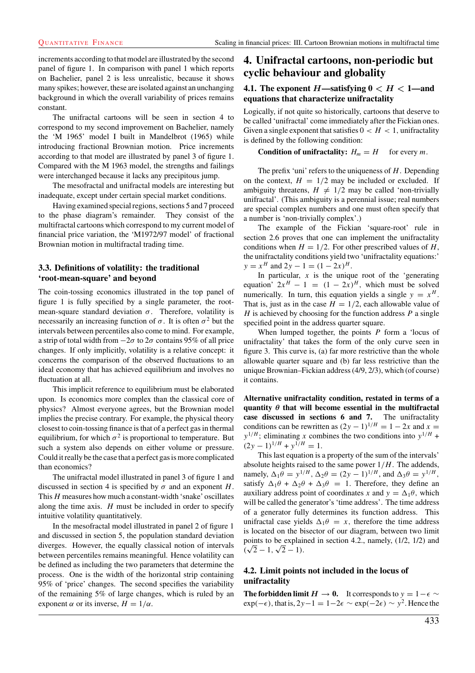increments according to that model are illustrated by the second panel of figure 1. In comparison with panel 1 which reports on Bachelier, panel 2 is less unrealistic, because it shows many spikes; however, these are isolated against an unchanging background in which the overall variability of prices remains constant.

The unifractal cartoons will be seen in section 4 to correspond to my second improvement on Bachelier, namely the 'M 1965' model I built in Mandelbrot (1965) while introducing fractional Brownian motion. Price increments according to that model are illustrated by panel 3 of figure 1. Compared with the M 1963 model, the strengths and failings were interchanged because it lacks any precipitous jump.

The mesofractal and unifractal models are interesting but inadequate, except under certain special market conditions.

Having examined special regions, sections 5 and 7 proceed to the phase diagram's remainder. They consist of the multifractal cartoons which correspond to my current model of financial price variation, the 'M1972/97 model' of fractional Brownian motion in multifractal trading time.

# **3.3. Definitions of volatility: the traditional 'root-mean-square' and beyond**

The coin-tossing economics illustrated in the top panel of figure 1 is fully specified by a single parameter, the rootmean-square standard deviation  $\sigma$ . Therefore, volatility is necessarily an increasing function of  $\sigma$ . It is often  $\sigma^2$  but the intervals between percentiles also come to mind. For example, a strip of total width from  $-2\sigma$  to  $2\sigma$  contains 95% of all price changes. If only implicitly, volatility is a relative concept: it concerns the comparison of the observed fluctuations to an ideal economy that has achieved equilibrium and involves no fluctuation at all.

This implicit reference to equilibrium must be elaborated upon. Is economics more complex than the classical core of physics? Almost everyone agrees, but the Brownian model implies the precise contrary. For example, the physical theory closest to coin-tossing finance is that of a perfect gas in thermal equilibrium, for which  $\sigma^2$  is proportional to temperature. But such a system also depends on either volume or pressure. Could it really be the case that a perfect gas is more complicated than economics?

The unifractal model illustrated in panel 3 of figure 1 and discussed in section 4 is specified by  $\sigma$  and an exponent H. This  $H$  measures how much a constant-width 'snake' oscillates along the time axis.  $H$  must be included in order to specify intuitive volatility quantitatively.

In the mesofractal model illustrated in panel 2 of figure 1 and discussed in section 5, the population standard deviation diverges. However, the equally classical notion of intervals between percentiles remains meaningful. Hence volatility can be defined as including the two parameters that determine the process. One is the width of the horizontal strip containing 95% of 'price' changes. The second specifies the variability of the remaining 5% of large changes, which is ruled by an exponent  $\alpha$  or its inverse,  $H = 1/\alpha$ .

# **4. Unifractal cartoons, non-periodic but cyclic behaviour and globality**

## **4.1.** The exponent  $H$ —satisfying  $0 < H < 1$ —and **equations that characterize unifractality**

Logically, if not quite so historically, cartoons that deserve to be called 'unifractal' come immediately after the Fickian ones. Given a single exponent that satisfies  $0 < H < 1$ , unifractality is defined by the following condition:

**Condition of unifractality:**  $H_m = H$  for every m.

The prefix 'uni' refers to the uniqueness of  $H$ . Depending on the context,  $H = 1/2$  may be included or excluded. If ambiguity threatens,  $H \neq 1/2$  may be called 'non-trivially unifractal'. (This ambiguity is a perennial issue; real numbers are special complex numbers and one must often specify that a number is 'non-trivially complex'.)

The example of the Fickian 'square-root' rule in section 2.6 proves that one can implement the unifractality conditions when  $H = 1/2$ . For other prescribed values of H, the unifractality conditions yield two 'unifractality equations:'  $y = x^H$  and  $2y - 1 = (1 - 2x)^H$ .

In particular,  $x$  is the unique root of the 'generating equation'  $2x^H - 1 = (1 - 2x)^H$ , which must be solved numerically. In turn, this equation yields a single  $y = x<sup>H</sup>$ . That is, just as in the case  $H = 1/2$ , each allowable value of  $H$  is achieved by choosing for the function address  $P$  a single specified point in the address quarter square.

When lumped together, the points  $P$  form a 'locus of unifractality' that takes the form of the only curve seen in figure 3. This curve is, (a) far more restrictive than the whole allowable quarter square and (b) far less restrictive than the unique Brownian–Fickian address (4/9, 2/3), which (of course) it contains.

**Alternative unifractality condition, restated in terms of a quantity** *θ* **that will become essential in the multifractal case discussed in sections 6 and 7.** The unifractality conditions can be rewritten as  $(2y - 1)^{1/H} = 1 - 2x$  and  $x =$  $y^{1/H}$ ; eliminating x combines the two conditions into  $y^{1/H}$  +  $(2y-1)^{1/H} + y^{1/H} = 1.$ 

This last equation is a property of the sum of the intervals' absolute heights raised to the same power  $1/H$ . The addends, namely,  $\Delta_1 \theta = y^{1/H}$ ,  $\Delta_2 \theta = (2y - 1)^{1/H}$ , and  $\Delta_3 \theta = y^{1/H}$ , satisfy  $\Delta_1 \theta + \Delta_2 \theta + \Delta_3 \theta = 1$ . Therefore, they define an auxiliary address point of coordinates x and  $y = \Delta_1 \theta$ , which will be called the generator's 'time address'. The time address of a generator fully determines its function address. This unifractal case yields  $\Delta_1 \theta = x$ , therefore the time address is located on the bisector of our diagram, between two limit points to be explained in section 4.2., namely, (1/2, 1/2) and points to be explain<br> $(\sqrt{2}-1, \sqrt{2}-1)$ .

# **4.2. Limit points not included in the locus of unifractality**

**The forbidden limit**  $H \to 0$ . It corresponds to  $y = 1 - \epsilon \sim$  $\exp(-\epsilon)$ , that is,  $2y-1 = 1-2\epsilon \sim \exp(-2\epsilon) \sim y^2$ . Hence the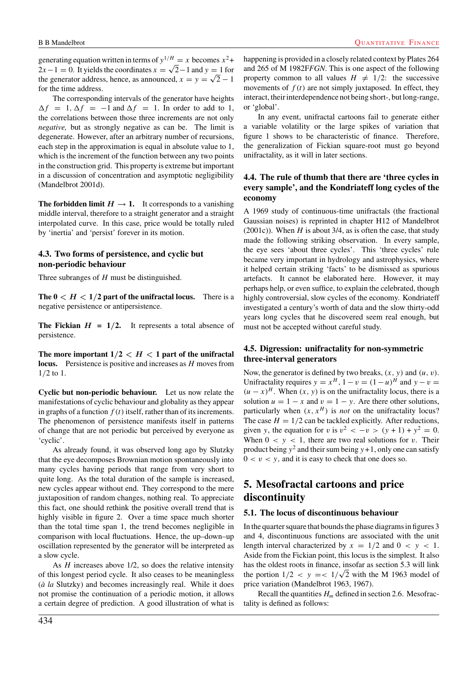generating equation written in terms of  $y^{1/H} = x$  becomes  $x^2$ +  $2x-1=0$ . It yields the coordinates  $x = \sqrt{2}-1$  and  $y = 1$  for the generator address, hence, as announced,  $x = y = \sqrt{2} - 1$ for the time address.

The corresponding intervals of the generator have heights  $\Delta f = 1, \Delta f = -1$  and  $\Delta f = 1$ . In order to add to 1, the correlations between those three increments are not only *negative,* but as strongly negative as can be. The limit is degenerate. However, after an arbitrary number of recursions, each step in the approximation is equal in absolute value to 1, which is the increment of the function between any two points in the construction grid. This property is extreme but important in a discussion of concentration and asymptotic negligibility (Mandelbrot 2001d).

**The forbidden limit**  $H \rightarrow 1$ . It corresponds to a vanishing middle interval, therefore to a straight generator and a straight interpolated curve. In this case, price would be totally ruled by 'inertia' and 'persist' forever in its motion.

#### **4.3. Two forms of persistence, and cyclic but non-periodic behaviour**

Three subranges of H must be distinguished.

**The**  $0 < H < 1/2$  **part of the unifractal locus.** There is a negative persistence or antipersistence.

**The Fickian**  $H = 1/2$ **. It represents a total absence of** persistence.

The more important  $1/2 < H < 1$  part of the unifractal **locus.** Persistence is positive and increases as H moves from 1/2 to 1.

**Cyclic but non-periodic behaviour.** Let us now relate the manifestations of cyclic behaviour and globality as they appear in graphs of a function  $f(t)$  itself, rather than of its increments. The phenomenon of persistence manifests itself in patterns of change that are not periodic but perceived by everyone as 'cyclic'.

As already found, it was observed long ago by Slutzky that the eye decomposes Brownian motion spontaneously into many cycles having periods that range from very short to quite long. As the total duration of the sample is increased, new cycles appear without end. They correspond to the mere juxtaposition of random changes, nothing real. To appreciate this fact, one should rethink the positive overall trend that is highly visible in figure 2. Over a time space much shorter than the total time span 1, the trend becomes negligible in comparison with local fluctuations. Hence, the up–down–up oscillation represented by the generator will be interpreted as a slow cycle.

As  $H$  increases above 1/2, so does the relative intensity of this longest period cycle. It also ceases to be meaningless (*a la* Slutzky) and becomes increasingly real. While it does not promise the continuation of a periodic motion, it allows a certain degree of prediction. A good illustration of what is happening is provided in a closely related context by Plates 264 and 265 of M 1982F*FGN*. This is one aspect of the following property common to all values  $H \neq 1/2$ : the successive movements of  $f(t)$  are not simply juxtaposed. In effect, they interact, their interdependence not being short-, but long-range, or 'global'.

In any event, unifractal cartoons fail to generate either a variable volatility or the large spikes of variation that figure 1 shows to be characteristic of finance. Therefore, the generalization of Fickian square-root must go beyond unifractality, as it will in later sections.

# **4.4. The rule of thumb that there are 'three cycles in every sample', and the Kondriateff long cycles of the economy**

A 1969 study of continuous-time unifractals (the fractional Gaussian noises) is reprinted in chapter H12 of Mandelbrot  $(2001c)$ ). When H is about 3/4, as is often the case, that study made the following striking observation. In every sample, the eye sees 'about three cycles'. This 'three cycles' rule became very important in hydrology and astrophysics, where it helped certain striking 'facts' to be dismissed as spurious artefacts. It cannot be elaborated here. However, it may perhaps help, or even suffice, to explain the celebrated, though highly controversial, slow cycles of the economy. Kondriateff investigated a century's worth of data and the slow thirty-odd years long cycles that he discovered seem real enough, but must not be accepted without careful study.

# **4.5. Digression: unifractality for non-symmetric three-interval generators**

Now, the generator is defined by two breaks,  $(x, y)$  and  $(u, v)$ . Unifractality requires  $y = x^H$ ,  $1 - v = (1 - u)^H$  and  $y - v =$  $(u - x)^{H}$ . When  $(x, y)$  is on the unifractality locus, there is a solution  $u = 1 - x$  and  $v = 1 - y$ . Are there other solutions, particularly when  $(x, x^H)$  is *not* on the unifractality locus? The case  $H = 1/2$  can be tackled explicitly. After reductions, given y, the equation for v is  $v^2 < -v > (y + 1) + y^2 = 0$ . When  $0 < y < 1$ , there are two real solutions for v. Their product being  $y^2$  and their sum being  $y+1$ , only one can satisfy  $0 < v < y$ , and it is easy to check that one does so.

# **5. Mesofractal cartoons and price discontinuity**

#### **5.1. The locus of discontinuous behaviour**

In the quarter square that bounds the phase diagrams in figures 3 and 4, discontinuous functions are associated with the unit length interval characterized by  $x = 1/2$  and  $0 < y < 1$ . Aside from the Fickian point, this locus is the simplest. It also has the oldest roots in finance, insofar as section 5.3 will link has the oldest roots in finance, insofar as section 5.3 will link<br>the portion  $1/2 < y = <1/\sqrt{2}$  with the M 1963 model of price variation (Mandelbrot 1963, 1967).

Recall the quantities  $H_m$  defined in section 2.6. Mesofractality is defined as follows: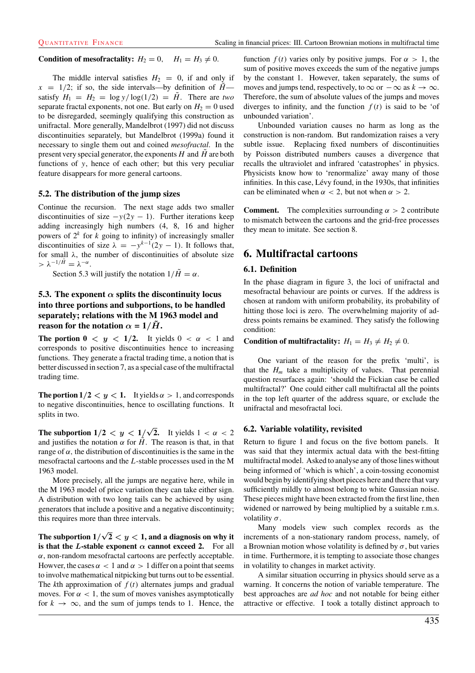## **Condition of mesofractality:**  $H_2 = 0$ ,  $H_1 = H_3 \neq 0$ .

The middle interval satisfies  $H_2 = 0$ , if and only if  $x = 1/2$ ; if so, the side intervals—by definition of  $H<sub>+</sub>$ satisfy  $H_1 = H_2 = \log y / \log(1/2) = \tilde{H}$ . There are *two* separate fractal exponents, not one. But early on  $H_2 = 0$  used to be disregarded, seemingly qualifying this construction as unifractal. More generally, Mandelbrot (1997) did not discuss discontinuities separately, but Mandelbrot (1999a) found it necessary to single them out and coined *mesofractal*. In the present very special generator, the exponents  $H$  and  $H$  are both functions of y, hence of each other; but this very peculiar feature disappears for more general cartoons.

#### **5.2. The distribution of the jump sizes**

Continue the recursion. The next stage adds two smaller discontinuities of size  $-y(2y - 1)$ . Further iterations keep adding increasingly high numbers (4, 8, 16 and higher powers of  $2^k$  for k going to infinity) of increasingly smaller discontinuities of size  $\lambda = -y^{k-1}(2y - 1)$ . It follows that, for small  $\lambda$ , the number of discontinuities of absolute size  $> \lambda^{-1/\tilde{H}} = \lambda^{-\alpha}.$ 

Section 5.3 will justify the notation  $1/\tilde{H} = \alpha$ .

# **5.3.** The exponent  $\alpha$  splits the discontinuity locus **into three portions and subportions, to be handled separately; relations with the M 1963 model and reason for the notation**  $\alpha = 1/\tilde{H}$ .

**The portion 0**  $\langle y \rangle \langle 1/2$ . It yields  $0 \langle \alpha \rangle \langle 1$  and corresponds to positive discontinuities hence to increasing functions. They generate a fractal trading time, a notion that is better discussed in section 7, as a special case of the multifractal trading time.

**The portion**  $1/2 < y < 1$ **. It yields**  $\alpha > 1$ **, and corresponds** to negative discontinuities, hence to oscillating functions. It splits in two.

**The subportion**  $1/2 < y < 1/\sqrt{2}$ **.** It yields  $1 < \alpha < 2$ and justifies the notation  $\alpha$  for  $\hat{H}$ . The reason is that, in that range of  $\alpha$ , the distribution of discontinuities is the same in the mesofractal cartoons and the L-stable processes used in the M 1963 model.

More precisely, all the jumps are negative here, while in the M 1963 model of price variation they can take either sign. A distribution with two long tails can be achieved by using generators that include a positive and a negative discontinuity; this requires more than three intervals.

The subportion  $1/\sqrt{2} < y < 1,$  and a diagnosis on why it **is that the** *L***-stable exponent**  $\alpha$  **cannot exceed 2.** For all  $\alpha$ , non-random mesofractal cartoons are perfectly acceptable. Howver, the cases  $\alpha < 1$  and  $\alpha > 1$  differ on a point that seems to involve mathematical nitpicking but turns out to be essential. The  $k$ th approximation of  $f(t)$  alternates jumps and gradual moves. For  $\alpha < 1$ , the sum of moves vanishes asymptotically for  $k \to \infty$ , and the sum of jumps tends to 1. Hence, the function  $f(t)$  varies only by positive jumps. For  $\alpha > 1$ , the sum of positive moves exceeds the sum of the negative jumps by the constant 1. However, taken separately, the sums of moves and jumps tend, respectively, to  $\infty$  or  $-\infty$  as  $k \to \infty$ . Therefore, the sum of absolute values of the jumps and moves diverges to infinity, and the function  $f(t)$  is said to be 'of unbounded variation'.

Unbounded variation causes no harm as long as the construction is non-random. But randomization raises a very subtle issue. Replacing fixed numbers of discontinuities by Poisson distributed numbers causes a divergence that recalls the ultraviolet and infrared 'catastrophes' in physics. Physicists know how to 'renormalize' away many of those infinities. In this case, Lévy found, in the 1930s, that infinities can be eliminated when  $\alpha$  < 2, but not when  $\alpha$  > 2.

**Comment.** The complexities surrounding  $\alpha > 2$  contribute to mismatch between the cartoons and the grid-free processes they mean to imitate. See section 8.

# **6. Multifractal cartoons**

#### **6.1. Definition**

In the phase diagram in figure 3, the loci of unifractal and mesofractal behaviour are points or curves. If the address is chosen at random with uniform probability, its probability of hitting those loci is zero. The overwhelming majority of address points remains be examined. They satisfy the following condition:

# **Condition of multifractality:**  $H_1 = H_3 \neq H_2 \neq 0$ .

One variant of the reason for the prefix 'multi', is that the  $H_m$  take a multiplicity of values. That perennial question resurfaces again: 'should the Fickian case be called multifractal?' One could either call multifractal all the points in the top left quarter of the address square, or exclude the unifractal and mesofractal loci.

#### **6.2. Variable volatility, revisited**

Return to figure 1 and focus on the five bottom panels. It was said that they intermix actual data with the best-fitting multifractal model. Asked to analyse any of those lines without being informed of 'which is which', a coin-tossing economist would begin by identifying short pieces here and there that vary sufficiently mildly to almost belong to white Gaussian noise. These pieces might have been extracted from the first line, then widened or narrowed by being multiplied by a suitable r.m.s. volatility  $\sigma$ .

Many models view such complex records as the increments of a non-stationary random process, namely, of a Brownian motion whose volatility is defined by  $\sigma$ , but varies in time. Furthermore, it is tempting to associate those changes in volatility to changes in market activity.

A similar situation occurring in physics should serve as a warning. It concerns the notion of variable temperature. The best approaches are *ad hoc* and not notable for being either attractive or effective. I took a totally distinct approach to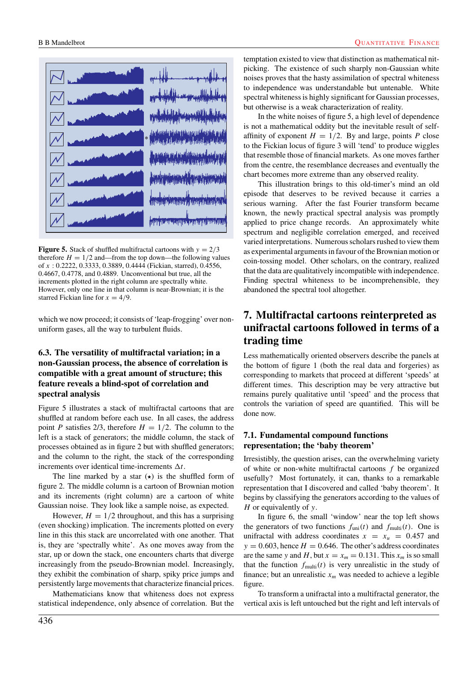

**Figure 5.** Stack of shuffled multifractal cartoons with  $y = 2/3$ therefore  $H = 1/2$  and—from the top down—the following values of x : 0.2222, 0.3333, 0.3889, 0.4444 (Fickian, starred), 0.4556, 0.4667, 0.4778, and 0.4889. Unconventional but true, all the increments plotted in the right column are spectrally white. However, only one line in that column is near-Brownian; it is the starred Fickian line for  $x = 4/9$ .

which we now proceed; it consists of 'leap-frogging' over nonuniform gases, all the way to turbulent fluids.

# **6.3. The versatility of multifractal variation; in a non-Gaussian process, the absence of correlation is compatible with a great amount of structure; this feature reveals a blind-spot of correlation and spectral analysis**

Figure 5 illustrates a stack of multifractal cartoons that are shuffled at random before each use. In all cases, the address point P satisfies 2/3, therefore  $H = 1/2$ . The column to the left is a stack of generators; the middle column, the stack of processes obtained as in figure 2 but with shuffled generators; and the column to the right, the stack of the corresponding increments over identical time-increments  $\Delta t$ .

The line marked by a star  $(\star)$  is the shuffled form of figure 2. The middle column is a cartoon of Brownian motion and its increments (right column) are a cartoon of white Gaussian noise. They look like a sample noise, as expected.

However,  $H = 1/2$  throughout, and this has a surprising (even shocking) implication. The increments plotted on every line in this this stack are uncorrelated with one another. That is, they are 'spectrally white'. As one moves away from the star, up or down the stack, one encounters charts that diverge increasingly from the pseudo-Brownian model. Increasingly, they exhibit the combination of sharp, spiky price jumps and persistently large movements that characterize financial prices.

Mathematicians know that whiteness does not express statistical independence, only absence of correlation. But the temptation existed to view that distinction as mathematical nitpicking. The existence of such sharply non-Gaussian white noises proves that the hasty assimilation of spectral whiteness to independence was understandable but untenable. White spectral whiteness is highly significant for Gaussian processes, but otherwise is a weak characterization of reality.

In the white noises of figure 5, a high level of dependence is not a mathematical oddity but the inevitable result of selfaffinity of exponent  $H = 1/2$ . By and large, points P close to the Fickian locus of figure 3 will 'tend' to produce wiggles that resemble those of financial markets. As one moves farther from the centre, the resemblance decreases and eventually the chart becomes more extreme than any observed reality.

This illustration brings to this old-timer's mind an old episode that deserves to be revived because it carries a serious warning. After the fast Fourier transform became known, the newly practical spectral analysis was promptly applied to price change records. An approximately white spectrum and negligible correlation emerged, and received varied interpretations. Numerous scholars rushed to view them as experimental arguments in favour of the Brownian motion or coin-tossing model. Other scholars, on the contrary, realized that the data are qualitatively incompatible with independence. Finding spectral whiteness to be incomprehensible, they abandoned the spectral tool altogether.

# **7. Multifractal cartoons reinterpreted as unifractal cartoons followed in terms of a trading time**

Less mathematically oriented observers describe the panels at the bottom of figure 1 (both the real data and forgeries) as corresponding to markets that proceed at different 'speeds' at different times. This description may be very attractive but remains purely qualitative until 'speed' and the process that controls the variation of speed are quantified. This will be done now.

# **7.1. Fundamental compound functions representation; the 'baby theorem'**

Irresistibly, the question arises, can the overwhelming variety of white or non-white multifractal cartoons  $f$  be organized usefully? Most fortunately, it can, thanks to a remarkable representation that I discovered and called 'baby theorem'. It begins by classifying the generators according to the values of H or equivalently of  $\nu$ .

In figure 6, the small 'window' near the top left shows the generators of two functions  $f_{\text{uni}}(t)$  and  $f_{\text{multi}}(t)$ . One is unifractal with address coordinates  $x = x_u = 0.457$  and  $y = 0.603$ , hence  $H = 0.646$ . The other's address coordinates are the same y and H, but  $x = x_m = 0.131$ . This  $x_m$  is so small that the function  $f_{multi}(t)$  is very unrealistic in the study of finance; but an unrealistic  $x_m$  was needed to achieve a legible figure.

To transform a unifractal into a multifractal generator, the vertical axis is left untouched but the right and left intervals of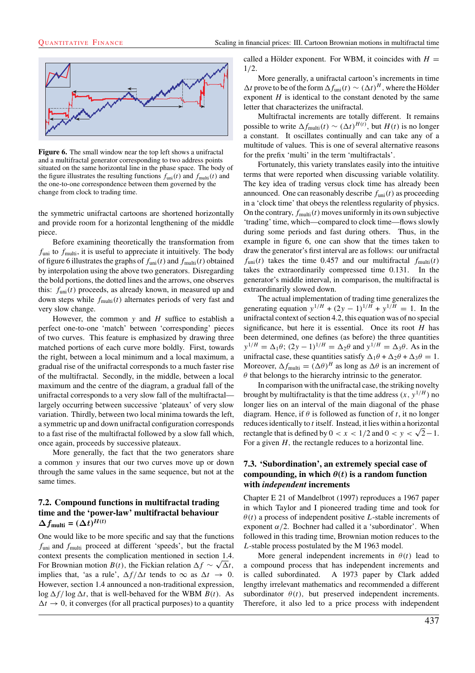

**Figure 6.** The small window near the top left shows a unifractal and a multifractal generator corresponding to two address points situated on the same horizontal line in the phase space. The body of the figure illustrates the resulting functions  $f_{\text{uni}}(t)$  and  $f_{\text{multi}}(t)$  and the one-to-one correspondence between them governed by the change from clock to trading time.

the symmetric unifractal cartoons are shortened horizontally and provide room for a horizontal lengthening of the middle piece.

Before examining theoretically the transformation from  $f_{\text{uni}}$  to  $f_{\text{multi}}$ , it is useful to appreciate it intuitively. The body of figure 6 illustrates the graphs of  $f_{\text{uni}}(t)$  and  $f_{\text{multi}}(t)$  obtained by interpolation using the above two generators. Disregarding the bold portions, the dotted lines and the arrows, one observes this:  $f_{\text{uni}}(t)$  proceeds, as already known, in measured up and down steps while  $f_{multi}(t)$  alternates periods of very fast and very slow change.

However, the common  $y$  and  $H$  suffice to establish a perfect one-to-one 'match' between 'corresponding' pieces of two curves. This feature is emphasized by drawing three matched portions of each curve more boldly. First, towards the right, between a local minimum and a local maximum, a gradual rise of the unifractal corresponds to a much faster rise of the multifractal. Secondly, in the middle, between a local maximum and the centre of the diagram, a gradual fall of the unifractal corresponds to a very slow fall of the multifractal largely occurring between successive 'plateaux' of very slow variation. Thirdly, between two local minima towards the left, a symmetric up and down unifractal configuration corresponds to a fast rise of the multifractal followed by a slow fall which, once again, proceeds by successive plateaux.

More generally, the fact that the two generators share a common y insures that our two curves move up or down through the same values in the same sequence, but not at the same times.

# **7.2. Compound functions in multifractal trading time and the 'power-law' multifractal behaviour**  $\Delta f_{\text{multi}} = (\Delta t)^{H(t)}$

One would like to be more specific and say that the functions  $f_{\text{uni}}$  and  $f_{\text{multi}}$  proceed at different 'speeds', but the fractal context presents the complication mentioned in section 1.4. For Brownian motion  $B(t)$ , the Fickian relation  $\Delta f \sim \sqrt{\Delta t}$ , implies that, 'as a rule',  $\Delta f/\Delta t$  tends to  $\infty$  as  $\Delta t \rightarrow 0$ . However, section 1.4 announced a non-traditional expression,  $\log \Delta f / \log \Delta t$ , that is well-behaved for the WBM  $B(t)$ . As  $\Delta t \rightarrow 0$ , it converges (for all practical purposes) to a quantity called a Hölder exponent. For WBM, it coincides with  $H =$ 1/2.

More generally, a unifractal cartoon's increments in time  $\Delta t$  prove to be of the form  $\Delta f_{\text{uni}}(t) \sim (\Delta t)^H$ , where the Hölder exponent  $H$  is identical to the constant denoted by the same letter that characterizes the unifractal.

Multifractal increments are totally different. It remains possible to write  $\Delta f_{\text{multi}}(t) \sim (\Delta t)^{H(t)}$ , but  $H(t)$  is no longer a constant. It oscillates continually and can take any of a multitude of values. This is one of several alternative reasons for the prefix 'multi' in the term 'multifractals'.

Fortunately, this variety translates easily into the intuitive terms that were reported when discussing variable volatility. The key idea of trading versus clock time has already been announced. One can reasonably describe  $f_{\text{uni}}(t)$  as proceeding in a 'clock time' that obeys the relentless regularity of physics. On the contrary,  $f_{\text{multi}}(t)$  moves uniformly in its own subjective 'trading' time, which—compared to clock time—flows slowly during some periods and fast during others. Thus, in the example in figure 6, one can show that the times taken to draw the generator's first interval are as follows: our unifractal  $f_{\text{uni}}(t)$  takes the time 0.457 and our multifractal  $f_{\text{multi}}(t)$ takes the extraordinarily compressed time 0.131. In the generator's middle interval, in comparison, the multifractal is extraordinarily slowed down.

The actual implementation of trading time generalizes the generating equation  $y^{1/H} + (2y - 1)^{1/H} + y^{1/H} = 1$ . In the unifractal context of section 4.2, this equation was of no special significance, but here it is essential. Once its root  $H$  has been determined, one defines (as before) the three quantities  $y^{1/H} = \Delta_1 \theta$ ;  $(2y - 1)^{1/H} = \Delta_2 \theta$  and  $y^{1/H} = \Delta_3 \theta$ . As in the unifractal case, these quantities satisfy  $\Delta_1 \theta + \Delta_2 \theta + \Delta_3 \theta = 1$ . Moreover,  $\Delta f_{\text{multi}} = (\Delta \theta)^H$  as long as  $\Delta \theta$  is an increment of  $\theta$  that belongs to the hierarchy intrinsic to the generator.

In comparison with the unifractal case, the striking novelty brought by multifractality is that the time address  $(x, y^{1/H})$  no longer lies on an interval of the main diagonal of the phase diagram. Hence, if  $\theta$  is followed as function of t, it no longer reduces identically to *t* itself. Instead, it lies within a horizontal rectangle that is defined by  $0 < x < 1/2$  and  $0 < y < \sqrt{2}-1$ . For a given  $H$ , the rectangle reduces to a horizontal line.

## **7.3. 'Subordination', an extremely special case of compounding, in which**  $\theta(t)$  is a random function **with** *independent* **increments**

Chapter E 21 of Mandelbrot (1997) reproduces a 1967 paper in which Taylor and I pioneered trading time and took for  $\theta(t)$  a process of independent positive L-stable increments of exponent  $\alpha/2$ . Bochner had called it a 'subordinator'. When followed in this trading time, Brownian motion reduces to the L-stable process postulated by the M 1963 model.

More general independent increments in  $\theta(t)$  lead to a compound process that has independent increments and is called subordinated. A 1973 paper by Clark added lengthy irrelevant mathematics and recommended a different subordinator  $\theta(t)$ , but preserved independent increments. Therefore, it also led to a price process with independent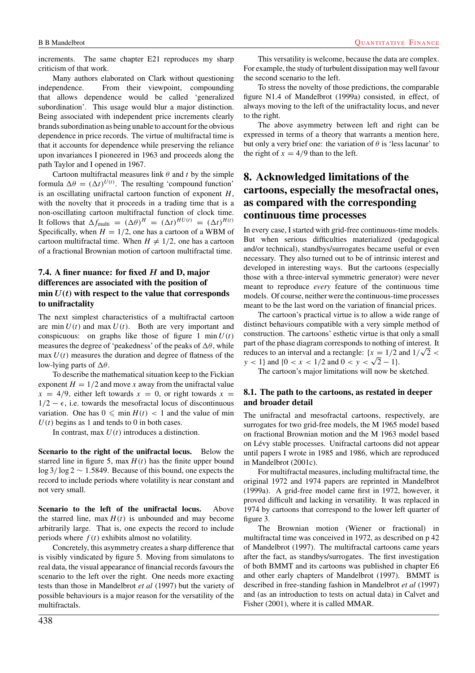increments. The same chapter E21 reproduces my sharp criticism of that work.

Many authors elaborated on Clark without questioning independence. From their viewpoint, compounding that allows dependence would be called 'generalized subordination'. This usage would blur a major distinction. Being associated with independent price increments clearly brands subordination as being unable to account for the obvious dependence in price records. The virtue of multifractal time is that it accounts for dependence while preserving the reliance upon invariances I pioneered in 1963 and proceeds along the path Taylor and I opened in 1967.

Cartoon multifractal measures link  $\theta$  and t by the simple formula  $\Delta \theta = (\Delta t)^{U(t)}$ . The resulting 'compound function' is an oscillating unifractal cartoon function of exponent  $H$ , with the novelty that it proceeds in a trading time that is a non-oscillating cartoon multifractal function of clock time. It follows that  $\Delta f_{\text{multi}} = (\Delta \theta)^H = (\Delta t)^{HU(t)} = (\Delta t)^{H(t)}$ Specifically, when  $H = 1/2$ , one has a cartoon of a WBM of cartoon multifractal time. When  $H \neq 1/2$ , one has a cartoon of a fractional Brownian motion of cartoon multifractal time.

# **7.4. A finer nuance: for fixed** *H* **and D, major differences are associated with the position of** min  $U(t)$  with respect to the value that corresponds **to unifractality**

The next simplest characteristics of a multifractal cartoon are min  $U(t)$  and max  $U(t)$ . Both are very important and conspicuous: on graphs like those of figure 1 min  $U(t)$ measures the degree of 'peakedness' of the peaks of  $\Delta\theta$ , while  $max U(t)$  measures the duration and degree of flatness of the low-lying parts of  $\Delta\theta$ .

To describe the mathematical situation keep to the Fickian exponent  $H = 1/2$  and move x away from the unifractal value  $x = 4/9$ , either left towards  $x = 0$ , or right towards  $x =$  $1/2 - \epsilon$ , i.e. towards the mesofractal locus of discontinuous variation. One has  $0 \n\leq \min H(t) < 1$  and the value of min  $U(t)$  begins as 1 and tends to 0 in both cases.

In contrast, max  $U(t)$  introduces a distinction.

**Scenario to the right of the unifractal locus.** Below the starred line in figure 5, max  $H(t)$  has the finite upper bound log 3/ log 2 ∼ 1.5849. Because of this bound, one expects the record to include periods where volatility is near constant and not very small.

**Scenario to the left of the unifractal locus.** Above the starred line, max  $H(t)$  is unbounded and may become arbitrarily large. That is, one expects the record to include periods where  $f(t)$  exhibits almost no volatility.

Concretely, this asymmetry creates a sharp difference that is visibly vindicated by figure 5. Moving from simulatons to real data, the visual appearance of financial records favours the scenario to the left over the right. One needs more exacting tests than those in Mandelbrot *et al* (1997) but the variety of possible behaviours is a major reason for the versatility of the multifractals.

This versatility is welcome, because the data are complex. For example, the study of turbulent dissipation may well favour the second scenario to the left.

To stress the novelty of those predictions, the comparable figure N1.4 of Mandelbrot (1999a) consisted, in effect, of always moving to the left of the unifractality locus, and never to the right.

The above asymmetry between left and right can be expressed in terms of a theory that warrants a mention here, but only a very brief one: the variation of  $\theta$  is 'less lacunar' to the right of  $x = 4/9$  than to the left.

# **8. Acknowledged limitations of the cartoons, especially the mesofractal ones, as compared with the corresponding continuous time processes**

In every case, I started with grid-free continuous-time models. But when serious difficulties materialized (pedagogical and/or technical), standbys/surrogates became useful or even necessary. They also turned out to be of intrinsic interest and developed in interesting ways. But the cartoons (especially those with a three-interval symmetric generator) were never meant to reproduce *every* feature of the continuous time models. Of course, neither were the continuous-time processes meant to be the last word on the variation of financial prices.

The cartoon's practical virtue is to allow a wide range of distinct behaviours compatible with a very simple method of construction. The cartoons' esthetic virtue is that only a small part of the phase diagram corresponds to nothing of interest. It part of the phase diagram corresponds to nothing of interest. It reduces to an interval and a rectangle:  $\{x = 1/2 \text{ and } 1/\sqrt{2} \}$  $y < 1$ } and {0 < x < 1/2 and 0 < y <  $\sqrt{2} - 1$ }.

The cartoon's major limitations will now be sketched.

#### **8.1. The path to the cartoons, as restated in deeper and broader detail**

The unifractal and mesofractal cartoons, respectively, are surrogates for two grid-free models, the M 1965 model based on fractional Brownian motion and the M 1963 model based on Lévy stable processes. Unifractal cartoons did not appear until papers I wrote in 1985 and 1986, which are reproduced in Mandelbrot (2001c).

For multifractal measures, including multifractal time, the original 1972 and 1974 papers are reprinted in Mandelbrot (1999a). A grid-free model came first in 1972, however, it proved difficult and lacking in versatility. It was replaced in 1974 by cartoons that correspond to the lower left quarter of figure 3.

The Brownian motion (Wiener or fractional) in multifractal time was conceived in 1972, as described on p 42 of Mandelbrot (1997). The multifractal cartoons came years after the fact, as standbys/surrogates. The first investigation of both BMMT and its cartoons was published in chapter E6 and other early chapters of Mandelbrot (1997). BMMT is described in free-standing fashion in Mandelbrot *et al* (1997) and (as an introduction to tests on actual data) in Calvet and Fisher (2001), where it is called MMAR.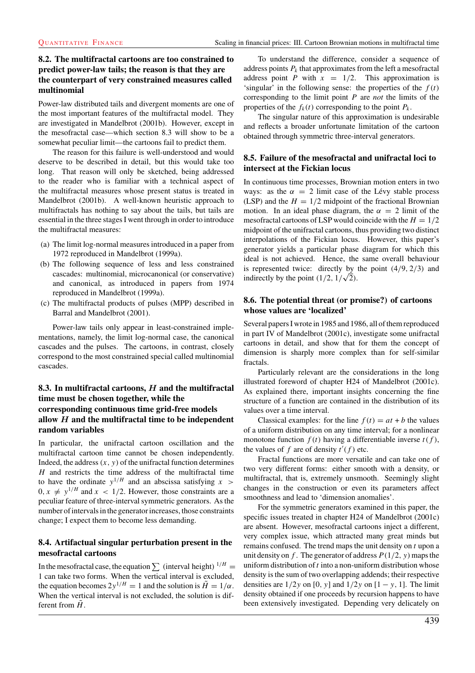# **8.2. The multifractal cartoons are too constrained to predict power-law tails; the reason is that they are the counterpart of very constrained measures called multinomial**

Power-law distributed tails and divergent moments are one of the most important features of the multifractal model. They are investigated in Mandelbrot (2001b). However, except in the mesofractal case—which section 8.3 will show to be a somewhat peculiar limit—the cartoons fail to predict them.

The reason for this failure is well-understood and would deserve to be described in detail, but this would take too long. That reason will only be sketched, being addressed to the reader who is familiar with a technical aspect of the multifractal measures whose present status is treated in Mandelbrot (2001b). A well-known heuristic approach to multifractals has nothing to say about the tails, but tails are essential in the three stages I went through in order to introduce the multifractal measures:

- (a) The limit log-normal measures introduced in a paper from 1972 reproduced in Mandelbrot (1999a).
- (b) The following sequence of less and less constrained cascades: multinomial, microcanonical (or conservative) and canonical, as introduced in papers from 1974 reproduced in Mandelbrot (1999a).
- (c) The multifractal products of pulses (MPP) described in Barral and Mandelbrot (2001).

Power-law tails only appear in least-constrained implementations, namely, the limit log-normal case, the canonical cascades and the pulses. The cartoons, in contrast, closely correspond to the most constrained special called multinomial cascades.

# **8.3. In multifractal cartoons,** *H* **and the multifractal time must be chosen together, while the corresponding continuous time grid-free models allow** *H* **and the multifractal time to be independent random variables**

In particular, the unifractal cartoon oscillation and the multifractal cartoon time cannot be chosen independently. Indeed, the address  $(x, y)$  of the unifractal function determines  $H$  and restricts the time address of the multifractal time to have the ordinate  $y^{1/H}$  and an abscissa satisfying x >  $0, x \neq y^{1/H}$  and  $x < 1/2$ . However, those constraints are a peculiar feature of three-interval symmetric generators. As the number of intervals in the generator increases, those constraints change; I expect them to become less demanding.

# **8.4. Artifactual singular perturbation present in the mesofractal cartoons**

In the mesofractal case, the equation  $\sum$  (interval height)  $^{1/H}$  = 1 can take two forms. When the vertical interval is excluded, the equation becomes  $2y^{1/H} = 1$  and the solution is  $\tilde{H} = 1/\alpha$ . When the vertical interval is not excluded, the solution is different from  $H$ .

To understand the difference, consider a sequence of address points  $P_k$  that approximates from the left a mesofractal address point P with  $x = 1/2$ . This approximation is 'singular' in the following sense: the properties of the  $f(t)$ corresponding to the limit point P are *not* the limits of the properties of the  $f_k(t)$  corresponding to the point  $P_k$ .

The singular nature of this approximation is undesirable and reflects a broader unfortunate limitation of the cartoon obtained through symmetric three-interval generators.

# **8.5. Failure of the mesofractal and unifractal loci to intersect at the Fickian locus**

In continuous time processes, Brownian motion enters in two ways: as the  $\alpha = 2$  limit case of the Lévy stable process (LSP) and the  $H = 1/2$  midpoint of the fractional Brownian motion. In an ideal phase diagram, the  $\alpha = 2$  limit of the mesofractal cartoons of LSP would coincide with the  $H = 1/2$ midpoint of the unifractal cartoons, thus providing two distinct interpolations of the Fickian locus. However, this paper's generator yields a particular phase diagram for which this ideal is not achieved. Hence, the same overall behaviour is represented twice: directly by the point  $(4/9, 2/3)$  and is represented twice: directly by indirectly by the point  $(1/2, 1/\sqrt{2})$ .

## **8.6. The potential threat (or promise?) of cartoons whose values are 'localized'**

Several papers I wrote in 1985 and 1986, all of them reproduced in part IV of Mandelbrot (2001c), investigate some unifractal cartoons in detail, and show that for them the concept of dimension is sharply more complex than for self-similar fractals.

Particularly relevant are the considerations in the long illustrated foreword of chapter H24 of Mandelbrot (2001c). As explained there, important insights concerning the fine structure of a function are contained in the distribution of its values over a time interval.

Classical examples: for the line  $f(t) = at + b$  the values of a uniform distribution on any time interval; for a nonlinear monotone function  $f(t)$  having a differentiable inverse  $t(f)$ , the values of f are of density  $t'(f)$  etc.

Fractal functions are more versatile and can take one of two very different forms: either smooth with a density, or multifractal, that is, extremely unsmooth. Seemingly slight changes in the construction or even its parameters affect smoothness and lead to 'dimension anomalies'.

For the symmetric generators examined in this paper, the specific issues treated in chapter H24 of Mandelbrot (2001c) are absent. However, mesofractal cartoons inject a different, very complex issue, which attracted many great minds but remains confused. The trend maps the unit density on  $t$  upon a unit density on f. The generator of address  $P(1/2, y)$  maps the uniform distribution of  $t$  into a non-uniform distribution whose density is the sum of two overlapping addends; their respective densities are  $1/2y$  on [0, y] and  $1/2y$  on [1 – y, 1]. The limit density obtained if one proceeds by recursion happens to have been extensively investigated. Depending very delicately on